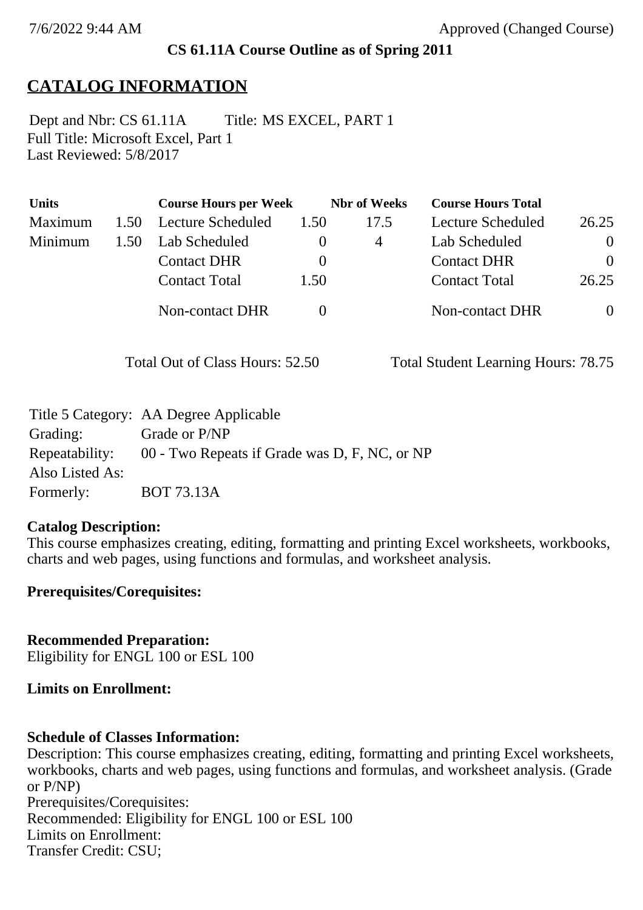# **CS 61.11A Course Outline as of Spring 2011**

# **CATALOG INFORMATION**

Full Title: Microsoft Excel, Part 1 Last Reviewed: 5/8/2017 Dept and Nbr: CS 61.11A Title: MS EXCEL, PART 1

| <b>Units</b> |      | <b>Course Hours per Week</b> |      | <b>Nbr</b> of Weeks | <b>Course Hours Total</b> |                |
|--------------|------|------------------------------|------|---------------------|---------------------------|----------------|
| Maximum      | 1.50 | Lecture Scheduled            | 1.50 | 17.5                | Lecture Scheduled         | 26.25          |
| Minimum      | 1.50 | Lab Scheduled                |      | 4                   | Lab Scheduled             | $\overline{0}$ |
|              |      | <b>Contact DHR</b>           |      |                     | <b>Contact DHR</b>        | $\Omega$       |
|              |      | <b>Contact Total</b>         | 1.50 |                     | <b>Contact Total</b>      | 26.25          |
|              |      | Non-contact DHR              |      |                     | <b>Non-contact DHR</b>    | $\overline{0}$ |

Total Out of Class Hours: 52.50 Total Student Learning Hours: 78.75

|                 | Title 5 Category: AA Degree Applicable        |
|-----------------|-----------------------------------------------|
| Grading:        | Grade or P/NP                                 |
| Repeatability:  | 00 - Two Repeats if Grade was D, F, NC, or NP |
| Also Listed As: |                                               |
| Formerly:       | <b>BOT 73.13A</b>                             |

### **Catalog Description:**

This course emphasizes creating, editing, formatting and printing Excel worksheets, workbooks, charts and web pages, using functions and formulas, and worksheet analysis.

### **Prerequisites/Corequisites:**

**Recommended Preparation:** Eligibility for ENGL 100 or ESL 100

### **Limits on Enrollment:**

### **Schedule of Classes Information:**

Description: This course emphasizes creating, editing, formatting and printing Excel worksheets, workbooks, charts and web pages, using functions and formulas, and worksheet analysis. (Grade or P/NP) Prerequisites/Corequisites: Recommended: Eligibility for ENGL 100 or ESL 100 Limits on Enrollment: Transfer Credit: CSU;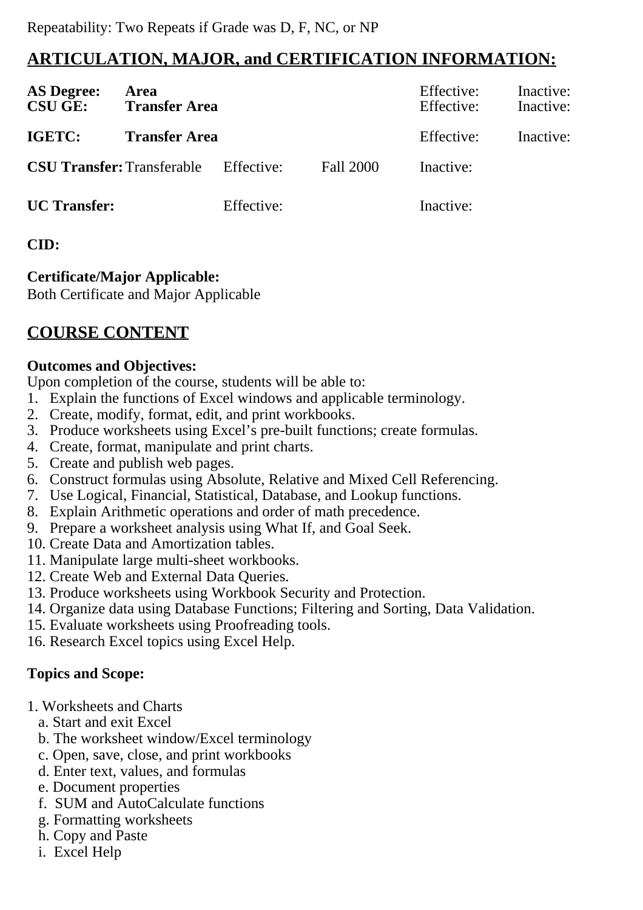# **ARTICULATION, MAJOR, and CERTIFICATION INFORMATION:**

| <b>AS Degree:</b><br><b>CSU GE:</b> | Area<br><b>Transfer Area</b> |            |           | Effective:<br>Effective: | Inactive:<br>Inactive: |
|-------------------------------------|------------------------------|------------|-----------|--------------------------|------------------------|
| IGETC:                              | <b>Transfer Area</b>         |            |           | Effective:               | Inactive:              |
| <b>CSU Transfer: Transferable</b>   |                              | Effective: | Fall 2000 | Inactive:                |                        |
| <b>UC</b> Transfer:                 |                              | Effective: |           | Inactive:                |                        |

## **CID:**

## **Certificate/Major Applicable:**

[Both Certificate and Major Applicable](SR_ClassCheck.aspx?CourseKey=CS61.11A)

# **COURSE CONTENT**

### **Outcomes and Objectives:**

Upon completion of the course, students will be able to:

- 1. Explain the functions of Excel windows and applicable terminology.
- 2. Create, modify, format, edit, and print workbooks.
- 3. Produce worksheets using Excel's pre-built functions; create formulas.
- 4. Create, format, manipulate and print charts.
- 5. Create and publish web pages.
- 6. Construct formulas using Absolute, Relative and Mixed Cell Referencing.
- 7. Use Logical, Financial, Statistical, Database, and Lookup functions.
- 8. Explain Arithmetic operations and order of math precedence.
- 9. Prepare a worksheet analysis using What If, and Goal Seek.
- 10. Create Data and Amortization tables.
- 11. Manipulate large multi-sheet workbooks.
- 12. Create Web and External Data Queries.
- 13. Produce worksheets using Workbook Security and Protection.
- 14. Organize data using Database Functions; Filtering and Sorting, Data Validation.
- 15. Evaluate worksheets using Proofreading tools.
- 16. Research Excel topics using Excel Help.

# **Topics and Scope:**

- 1. Worksheets and Charts
	- a. Start and exit Excel
	- b. The worksheet window/Excel terminology
	- c. Open, save, close, and print workbooks
	- d. Enter text, values, and formulas
	- e. Document properties
	- f. SUM and AutoCalculate functions
	- g. Formatting worksheets
	- h. Copy and Paste
	- i. Excel Help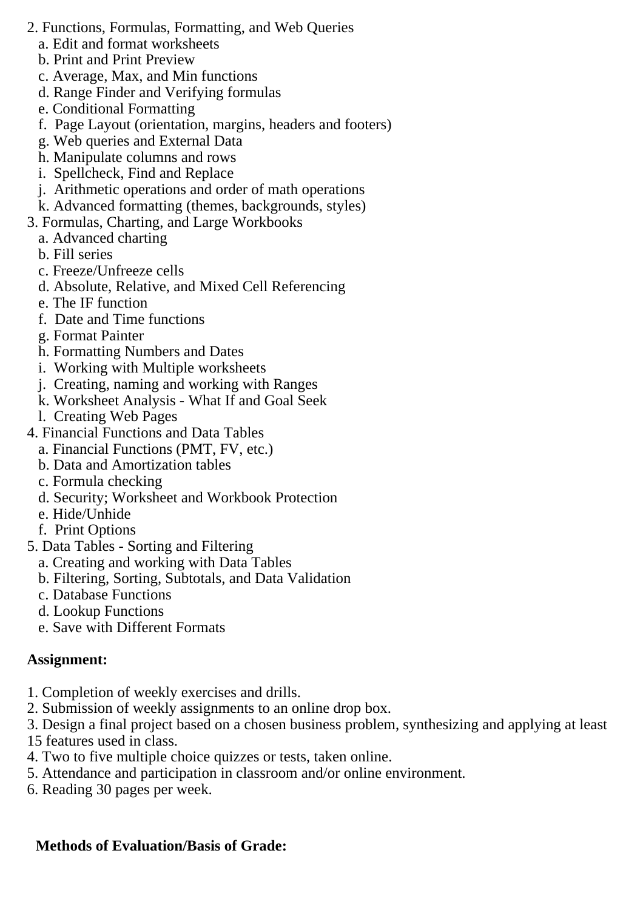- 2. Functions, Formulas, Formatting, and Web Queries
	- a. Edit and format worksheets
	- b. Print and Print Preview
	- c. Average, Max, and Min functions
	- d. Range Finder and Verifying formulas
	- e. Conditional Formatting
	- f. Page Layout (orientation, margins, headers and footers)
	- g. Web queries and External Data
	- h. Manipulate columns and rows
	- i. Spellcheck, Find and Replace
	- j. Arithmetic operations and order of math operations
	- k. Advanced formatting (themes, backgrounds, styles)
- 3. Formulas, Charting, and Large Workbooks
	- a. Advanced charting
	- b. Fill series
	- c. Freeze/Unfreeze cells
	- d. Absolute, Relative, and Mixed Cell Referencing
	- e. The IF function
	- f. Date and Time functions
	- g. Format Painter
	- h. Formatting Numbers and Dates
	- i. Working with Multiple worksheets
	- j. Creating, naming and working with Ranges
	- k. Worksheet Analysis What If and Goal Seek
	- l. Creating Web Pages
- 4. Financial Functions and Data Tables
	- a. Financial Functions (PMT, FV, etc.)
	- b. Data and Amortization tables
	- c. Formula checking
	- d. Security; Worksheet and Workbook Protection
	- e. Hide/Unhide
	- f. Print Options
- 5. Data Tables Sorting and Filtering
	- a. Creating and working with Data Tables
	- b. Filtering, Sorting, Subtotals, and Data Validation
	- c. Database Functions
	- d. Lookup Functions
	- e. Save with Different Formats

# **Assignment:**

- 1. Completion of weekly exercises and drills.
- 2. Submission of weekly assignments to an online drop box.
- 3. Design a final project based on a chosen business problem, synthesizing and applying at least 15 features used in class.
- 4. Two to five multiple choice quizzes or tests, taken online.
- 5. Attendance and participation in classroom and/or online environment.
- 6. Reading 30 pages per week.

# **Methods of Evaluation/Basis of Grade:**